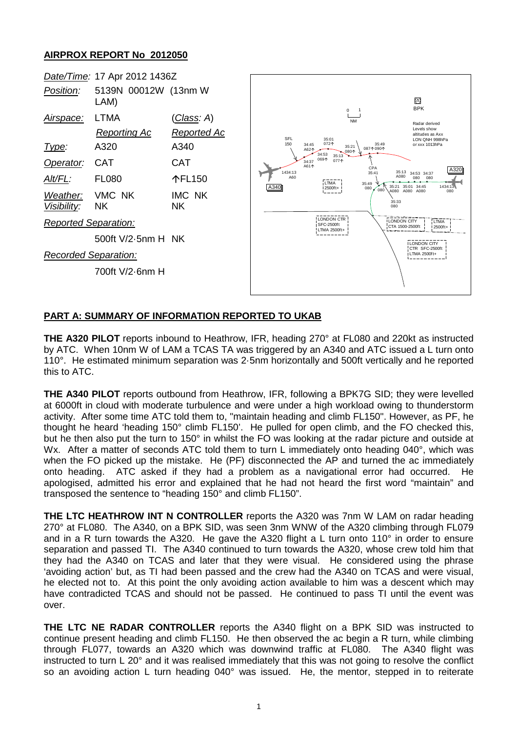## **AIRPROX REPORT No 2012050**

|                                                                                     | Date/Time: 17 Apr 2012 1436Z                                                                                                                                                                       |                                                                                          |                                                                                                                                                                                |                                                                                                                                        |                                                                                                                                                                                                                                                                                                                               |
|-------------------------------------------------------------------------------------|----------------------------------------------------------------------------------------------------------------------------------------------------------------------------------------------------|------------------------------------------------------------------------------------------|--------------------------------------------------------------------------------------------------------------------------------------------------------------------------------|----------------------------------------------------------------------------------------------------------------------------------------|-------------------------------------------------------------------------------------------------------------------------------------------------------------------------------------------------------------------------------------------------------------------------------------------------------------------------------|
| Position:                                                                           | 5139N 00012W (13nm W<br>LAM)                                                                                                                                                                       |                                                                                          |                                                                                                                                                                                |                                                                                                                                        | ∞<br><b>BPK</b>                                                                                                                                                                                                                                                                                                               |
| <u>Airspace:</u><br><u>Type:</u><br>Operator:<br>Alt/FL:<br>Weather:<br>Visibility: | LTMA<br><b>Reporting Ac</b><br>A320<br><b>CAT</b><br><b>FL080</b><br>VMC NK<br><b>NK</b><br><b>Reported Separation:</b><br>500ft $V/2$ -5nm H NK<br><b>Recorded Separation:</b><br>700ft V/2-6nm H | <u>(Class</u> : A)<br>Reported Ac<br>A340<br><b>CAT</b><br>个FL150<br>IMC NK<br><b>NK</b> | SFL<br>35:01<br>072个<br>150<br>34:45<br>A62个<br>34:53<br>069个<br>34:37<br>A61个<br>1434:13<br>A60<br>LTMA<br>A340<br>2500ft+<br><b>LONDON CTR</b><br>SFC-2500ft<br>LTMA 2500ft+ | $0 \quad 1$<br><b>NM</b><br>35:49<br>35:21<br>08710901<br>080个<br>35:13<br>077个<br>CPA<br>35:41<br>35:49<br>080<br>080<br>35:33<br>080 | Radar derived<br>Levels show<br>altitudes as Axx<br>LON QNH 998hPa<br>or xxx 1013hPa<br>A<br>35:13<br>34:53 34:37<br>A080<br>080<br>080<br>35:21 35:01 34:45<br>1434:13<br>A080 A080 A080<br>080<br><b>LTMA</b><br><b>LONDON CITY</b><br>CTA 1500-2500ft<br>2500ft+<br><b>I LONDON CITY</b><br>CTR SFC-2500ft<br>LTMA 2500ft+ |
|                                                                                     |                                                                                                                                                                                                    |                                                                                          |                                                                                                                                                                                |                                                                                                                                        |                                                                                                                                                                                                                                                                                                                               |

A320

## **PART A: SUMMARY OF INFORMATION REPORTED TO UKAB**

**THE A320 PILOT** reports inbound to Heathrow, IFR, heading 270° at FL080 and 220kt as instructed by ATC. When 10nm W of LAM a TCAS TA was triggered by an A340 and ATC issued a L turn onto 110°. He estimated minimum separation was 2·5nm horizontally and 500ft vertically and he reported this to ATC.

**THE A340 PILOT** reports outbound from Heathrow, IFR, following a BPK7G SID; they were levelled at 6000ft in cloud with moderate turbulence and were under a high workload owing to thunderstorm activity. After some time ATC told them to, "maintain heading and climb FL150". However, as PF, he thought he heard 'heading 150° climb FL150'. He pulled for open climb, and the FO checked this, but he then also put the turn to 150° in whilst the FO was looking at the radar picture and outside at Wx. After a matter of seconds ATC told them to turn L immediately onto heading 040°, which was when the FO picked up the mistake. He (PF) disconnected the AP and turned the ac immediately onto heading. ATC asked if they had a problem as a navigational error had occurred. He apologised, admitted his error and explained that he had not heard the first word "maintain" and transposed the sentence to "heading 150° and climb FL150".

**THE LTC HEATHROW INT N CONTROLLER** reports the A320 was 7nm W LAM on radar heading 270° at FL080. The A340, on a BPK SID, was seen 3nm WNW of the A320 climbing through FL079 and in a R turn towards the A320. He gave the A320 flight a L turn onto 110° in order to ensure separation and passed TI. The A340 continued to turn towards the A320, whose crew told him that they had the A340 on TCAS and later that they were visual. He considered using the phrase 'avoiding action' but, as TI had been passed and the crew had the A340 on TCAS and were visual, he elected not to. At this point the only avoiding action available to him was a descent which may have contradicted TCAS and should not be passed. He continued to pass TI until the event was over.

**THE LTC NE RADAR CONTROLLER** reports the A340 flight on a BPK SID was instructed to continue present heading and climb FL150. He then observed the ac begin a R turn, while climbing through FL077, towards an A320 which was downwind traffic at FL080. The A340 flight was instructed to turn L 20° and it was realised immediately that this was not going to resolve the conflict so an avoiding action L turn heading 040° was issued. He, the mentor, stepped in to reiterate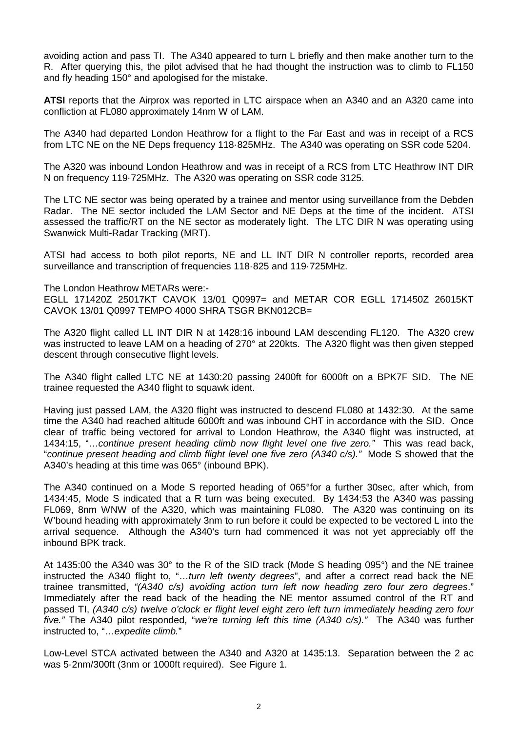avoiding action and pass TI. The A340 appeared to turn L briefly and then make another turn to the R. After querying this, the pilot advised that he had thought the instruction was to climb to FL150 and fly heading 150° and apologised for the mistake.

**ATSI** reports that the Airprox was reported in LTC airspace when an A340 and an A320 came into confliction at FL080 approximately 14nm W of LAM.

The A340 had departed London Heathrow for a flight to the Far East and was in receipt of a RCS from LTC NE on the NE Deps frequency 118·825MHz. The A340 was operating on SSR code 5204.

The A320 was inbound London Heathrow and was in receipt of a RCS from LTC Heathrow INT DIR N on frequency 119·725MHz. The A320 was operating on SSR code 3125.

The LTC NE sector was being operated by a trainee and mentor using surveillance from the Debden Radar. The NE sector included the LAM Sector and NE Deps at the time of the incident. ATSI assessed the traffic/RT on the NE sector as moderately light. The LTC DIR N was operating using Swanwick Multi-Radar Tracking (MRT).

ATSI had access to both pilot reports, NE and LL INT DIR N controller reports, recorded area surveillance and transcription of frequencies 118·825 and 119·725MHz.

The London Heathrow METARs were:-

EGLL 171420Z 25017KT CAVOK 13/01 Q0997= and METAR COR EGLL 171450Z 26015KT CAVOK 13/01 Q0997 TEMPO 4000 SHRA TSGR BKN012CB=

The A320 flight called LL INT DIR N at 1428:16 inbound LAM descending FL120. The A320 crew was instructed to leave LAM on a heading of 270° at 220kts. The A320 flight was then given stepped descent through consecutive flight levels.

The A340 flight called LTC NE at 1430:20 passing 2400ft for 6000ft on a BPK7F SID. The NE trainee requested the A340 flight to squawk ident.

Having just passed LAM, the A320 flight was instructed to descend FL080 at 1432:30. At the same time the A340 had reached altitude 6000ft and was inbound CHT in accordance with the SID. Once clear of traffic being vectored for arrival to London Heathrow, the A340 flight was instructed, at 1434:15, "…*continue present heading climb now flight level one five zero."* This was read back, "*continue present heading and climb flight level one five zero (A340 c/s)."* Mode S showed that the A340's heading at this time was 065° (inbound BPK).

The A340 continued on a Mode S reported heading of 065°for a further 30sec, after which, from 1434:45, Mode S indicated that a R turn was being executed. By 1434:53 the A340 was passing FL069, 8nm WNW of the A320, which was maintaining FL080. The A320 was continuing on its W'bound heading with approximately 3nm to run before it could be expected to be vectored L into the arrival sequence. Although the A340's turn had commenced it was not yet appreciably off the inbound BPK track.

At 1435:00 the A340 was 30° to the R of the SID track (Mode S heading 095°) and the NE trainee instructed the A340 flight to, "…*turn left twenty degrees*", and after a correct read back the NE trainee transmitted, *"(A340 c/s) avoiding action turn left now heading zero four zero degrees*." Immediately after the read back of the heading the NE mentor assumed control of the RT and passed TI, *(A340 c/s) twelve o'clock er flight level eight zero left turn immediately heading zero four five."* The A340 pilot responded, "*we're turning left this time (A340 c/s)."* The A340 was further instructed to, "…*expedite climb.*"

Low-Level STCA activated between the A340 and A320 at 1435:13. Separation between the 2 ac was 5·2nm/300ft (3nm or 1000ft required). See Figure 1.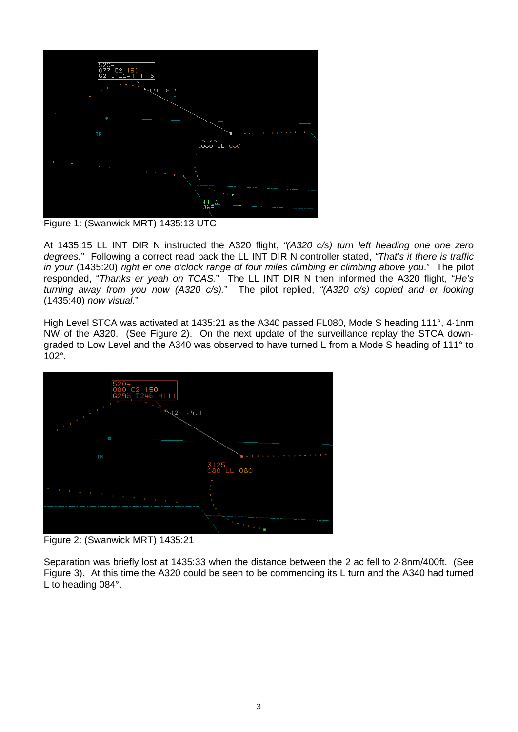

Figure 1: (Swanwick MRT) 1435:13 UTC

At 1435:15 LL INT DIR N instructed the A320 flight, *"(A320 c/s) turn left heading one one zero degrees.*" Following a correct read back the LL INT DIR N controller stated, *"That's it there is traffic in your* (1435:20) *right er one o'clock range of four miles climbing er climbing above you*." The pilot responded, "*Thanks er yeah on TCAS.*" The LL INT DIR N then informed the A320 flight, "*He's turning away from you now (A320 c/s).*" The pilot replied, *"(A320 c/s) copied and er looking*  (1435:40) *now visual*."

High Level STCA was activated at 1435:21 as the A340 passed FL080, Mode S heading 111°, 4*·*1nm NW of the A320. (See Figure 2). On the next update of the surveillance replay the STCA downgraded to Low Level and the A340 was observed to have turned L from a Mode S heading of 111° to 102°.



Figure 2: (Swanwick MRT) 1435:21

Separation was briefly lost at 1435:33 when the distance between the 2 ac fell to 2·8nm/400ft. (See Figure 3). At this time the A320 could be seen to be commencing its L turn and the A340 had turned L to heading 084°.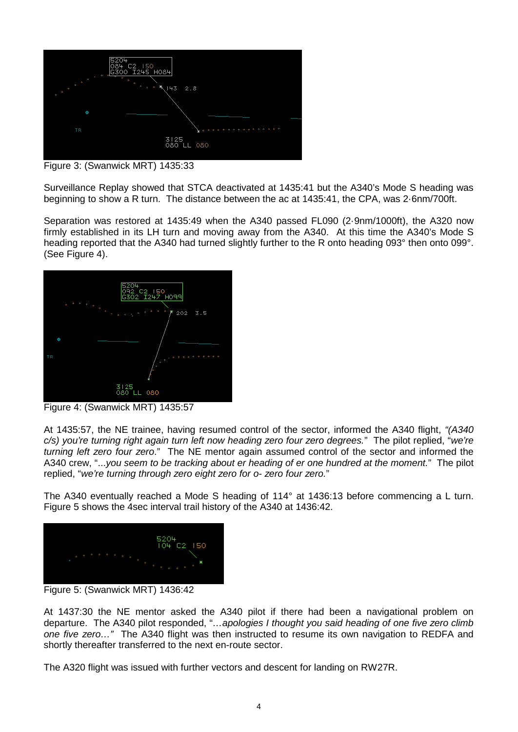

Figure 3: (Swanwick MRT) 1435:33

Surveillance Replay showed that STCA deactivated at 1435:41 but the A340's Mode S heading was beginning to show a R turn. The distance between the ac at 1435:41, the CPA, was 2·6nm/700ft.

Separation was restored at 1435:49 when the A340 passed FL090 (2·9nm/1000ft), the A320 now firmly established in its LH turn and moving away from the A340. At this time the A340's Mode S heading reported that the A340 had turned slightly further to the R onto heading 093° then onto 099°. (See Figure 4).



Figure 4: (Swanwick MRT) 1435:57

At 1435:57, the NE trainee, having resumed control of the sector, informed the A340 flight, *"(A340 c/s) you're turning right again turn left now heading zero four zero degrees.*" The pilot replied, "*we're turning left zero four zero*." The NE mentor again assumed control of the sector and informed the A340 crew, "...*you seem to be tracking about er heading of er one hundred at the moment.*" The pilot replied, "*we're turning through zero eight zero for o- zero four zero.*"

The A340 eventually reached a Mode S heading of 114° at 1436:13 before commencing a L turn. Figure 5 shows the 4sec interval trail history of the A340 at 1436:42.



Figure 5: (Swanwick MRT) 1436:42

At 1437:30 the NE mentor asked the A340 pilot if there had been a navigational problem on departure. The A340 pilot responded, "*…apologies I thought you said heading of one five zero climb one five zero…"* The A340 flight was then instructed to resume its own navigation to REDFA and shortly thereafter transferred to the next en-route sector.

The A320 flight was issued with further vectors and descent for landing on RW27R.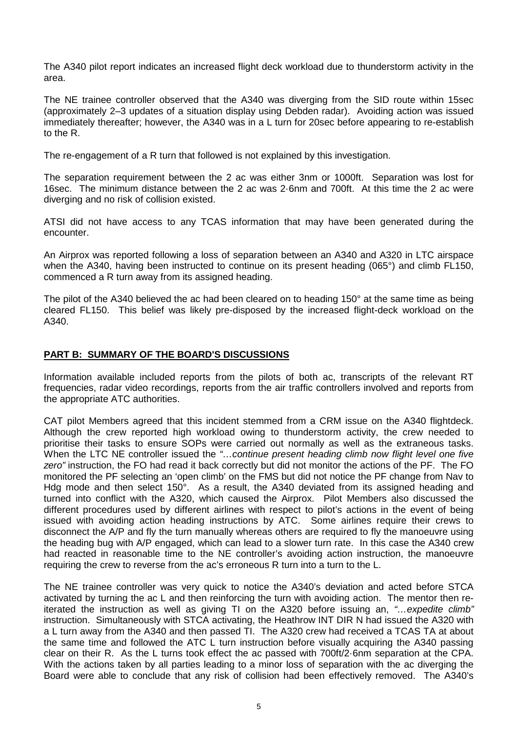The A340 pilot report indicates an increased flight deck workload due to thunderstorm activity in the area.

The NE trainee controller observed that the A340 was diverging from the SID route within 15sec (approximately 2–3 updates of a situation display using Debden radar). Avoiding action was issued immediately thereafter; however, the A340 was in a L turn for 20sec before appearing to re-establish to the R.

The re-engagement of a R turn that followed is not explained by this investigation.

The separation requirement between the 2 ac was either 3nm or 1000ft. Separation was lost for 16sec. The minimum distance between the 2 ac was 2·6nm and 700ft. At this time the 2 ac were diverging and no risk of collision existed.

ATSI did not have access to any TCAS information that may have been generated during the encounter.

An Airprox was reported following a loss of separation between an A340 and A320 in LTC airspace when the A340, having been instructed to continue on its present heading (065°) and climb FL150, commenced a R turn away from its assigned heading.

The pilot of the A340 believed the ac had been cleared on to heading 150° at the same time as being cleared FL150. This belief was likely pre-disposed by the increased flight-deck workload on the A340.

## **PART B: SUMMARY OF THE BOARD'S DISCUSSIONS**

Information available included reports from the pilots of both ac, transcripts of the relevant RT frequencies, radar video recordings, reports from the air traffic controllers involved and reports from the appropriate ATC authorities.

CAT pilot Members agreed that this incident stemmed from a CRM issue on the A340 flightdeck. Although the crew reported high workload owing to thunderstorm activity, the crew needed to prioritise their tasks to ensure SOPs were carried out normally as well as the extraneous tasks. When the LTC NE controller issued the *"…continue present heading climb now flight level one five zero"* instruction, the FO had read it back correctly but did not monitor the actions of the PF. The FO monitored the PF selecting an 'open climb' on the FMS but did not notice the PF change from Nav to Hdg mode and then select 150°. As a result, the A340 deviated from its assigned heading and turned into conflict with the A320, which caused the Airprox. Pilot Members also discussed the different procedures used by different airlines with respect to pilot's actions in the event of being issued with avoiding action heading instructions by ATC. Some airlines require their crews to disconnect the A/P and fly the turn manually whereas others are required to fly the manoeuvre using the heading bug with A/P engaged, which can lead to a slower turn rate. In this case the A340 crew had reacted in reasonable time to the NE controller's avoiding action instruction, the manoeuvre requiring the crew to reverse from the ac's erroneous R turn into a turn to the L.

The NE trainee controller was very quick to notice the A340's deviation and acted before STCA activated by turning the ac L and then reinforcing the turn with avoiding action. The mentor then reiterated the instruction as well as giving TI on the A320 before issuing an, *"…expedite climb"* instruction. Simultaneously with STCA activating, the Heathrow INT DIR N had issued the A320 with a L turn away from the A340 and then passed TI. The A320 crew had received a TCAS TA at about the same time and followed the ATC L turn instruction before visually acquiring the A340 passing clear on their R. As the L turns took effect the ac passed with 700ft/2·6nm separation at the CPA. With the actions taken by all parties leading to a minor loss of separation with the ac diverging the Board were able to conclude that any risk of collision had been effectively removed. The A340's